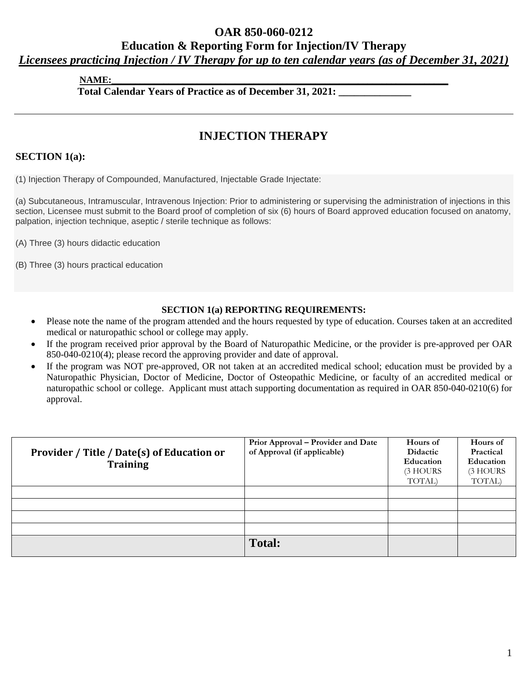# **OAR 850-060-0212**

# **Education & Reporting Form for Injection/IV Therapy**

*Licensees practicing Injection / IV Therapy for up to ten calendar years (as of December 31, 2021)*

**NAME:\_\_\_\_\_\_\_\_\_\_\_\_\_\_\_\_\_\_\_\_\_\_\_\_\_\_\_\_\_\_\_\_\_\_\_\_\_\_\_\_\_\_\_\_\_\_\_\_\_\_\_\_\_\_\_\_\_\_\_\_\_\_\_\_\_\_\_\_\_\_\_**

**Total Calendar Years of Practice as of December 31, 2021: \_\_\_\_\_\_\_\_\_\_\_\_\_\_**

# **INJECTION THERAPY**

# **SECTION 1(a):**

(1) Injection Therapy of Compounded, Manufactured, Injectable Grade Injectate:

(a) Subcutaneous, Intramuscular, Intravenous Injection: Prior to administering or supervising the administration of injections in this section, Licensee must submit to the Board proof of completion of six (6) hours of Board approved education focused on anatomy, palpation, injection technique, aseptic / sterile technique as follows:

(A) Three (3) hours didactic education

(B) Three (3) hours practical education

#### **SECTION 1(a) REPORTING REQUIREMENTS:**

- Please note the name of the program attended and the hours requested by type of education. Courses taken at an accredited medical or naturopathic school or college may apply.
- If the program received prior approval by the Board of Naturopathic Medicine, or the provider is pre-approved per OAR 850-040-0210(4); please record the approving provider and date of approval.
- If the program was NOT pre-approved, OR not taken at an accredited medical school; education must be provided by a Naturopathic Physician, Doctor of Medicine, Doctor of Osteopathic Medicine, or faculty of an accredited medical or naturopathic school or college. Applicant must attach supporting documentation as required in OAR 850-040-0210(6) for approval.

| Provider / Title / Date(s) of Education or<br><b>Training</b> | Prior Approval - Provider and Date<br>of Approval (if applicable) | Hours of<br>Didactic<br><b>Education</b><br>(3 HOURS)<br>TOTAL) | Hours of<br>Practical<br>Education<br>(3 HOURS<br>TOTAL) |
|---------------------------------------------------------------|-------------------------------------------------------------------|-----------------------------------------------------------------|----------------------------------------------------------|
|                                                               |                                                                   |                                                                 |                                                          |
|                                                               |                                                                   |                                                                 |                                                          |
|                                                               |                                                                   |                                                                 |                                                          |
|                                                               |                                                                   |                                                                 |                                                          |
|                                                               | <b>Total:</b>                                                     |                                                                 |                                                          |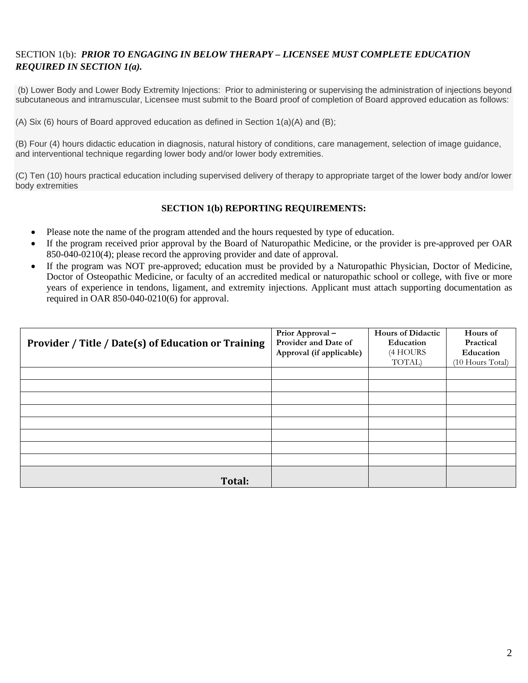## SECTION 1(b): *PRIOR TO ENGAGING IN BELOW THERAPY – LICENSEE MUST COMPLETE EDUCATION REQUIRED IN SECTION 1(a).*

(b) Lower Body and Lower Body Extremity Injections: Prior to administering or supervising the administration of injections beyond subcutaneous and intramuscular, Licensee must submit to the Board proof of completion of Board approved education as follows:

(A) Six (6) hours of Board approved education as defined in Section  $1(a)(A)$  and (B);

(B) Four (4) hours didactic education in diagnosis, natural history of conditions, care management, selection of image guidance, and interventional technique regarding lower body and/or lower body extremities.

(C) Ten (10) hours practical education including supervised delivery of therapy to appropriate target of the lower body and/or lower body extremities

#### **SECTION 1(b) REPORTING REQUIREMENTS:**

- Please note the name of the program attended and the hours requested by type of education.
- If the program received prior approval by the Board of Naturopathic Medicine, or the provider is pre-approved per OAR 850-040-0210(4); please record the approving provider and date of approval.
- If the program was NOT pre-approved; education must be provided by a Naturopathic Physician, Doctor of Medicine, Doctor of Osteopathic Medicine, or faculty of an accredited medical or naturopathic school or college, with five or more years of experience in tendons, ligament, and extremity injections. Applicant must attach supporting documentation as required in OAR 850-040-0210(6) for approval.

|                                                     | Prior Approval-          | <b>Hours of Didactic</b> | Hours of         |
|-----------------------------------------------------|--------------------------|--------------------------|------------------|
| Provider / Title / Date(s) of Education or Training | Provider and Date of     | Education                | Practical        |
|                                                     | Approval (if applicable) | (4 HOURS                 | Education        |
|                                                     |                          | TOTAL)                   | (10 Hours Total) |
|                                                     |                          |                          |                  |
|                                                     |                          |                          |                  |
|                                                     |                          |                          |                  |
|                                                     |                          |                          |                  |
|                                                     |                          |                          |                  |
|                                                     |                          |                          |                  |
|                                                     |                          |                          |                  |
|                                                     |                          |                          |                  |
| Total:                                              |                          |                          |                  |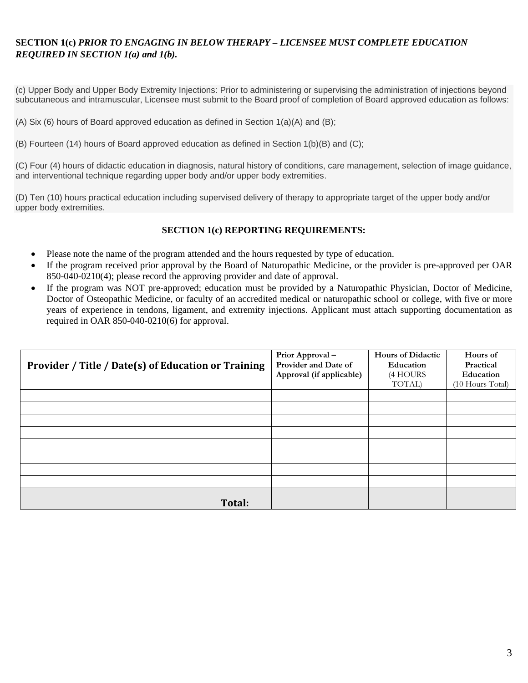## **SECTION 1(c)** *PRIOR TO ENGAGING IN BELOW THERAPY – LICENSEE MUST COMPLETE EDUCATION REQUIRED IN SECTION 1(a) and 1(b).*

(c) Upper Body and Upper Body Extremity Injections: Prior to administering or supervising the administration of injections beyond subcutaneous and intramuscular, Licensee must submit to the Board proof of completion of Board approved education as follows:

(A) Six (6) hours of Board approved education as defined in Section 1(a)(A) and (B);

(B) Fourteen (14) hours of Board approved education as defined in Section 1(b)(B) and (C);

(C) Four (4) hours of didactic education in diagnosis, natural history of conditions, care management, selection of image guidance, and interventional technique regarding upper body and/or upper body extremities.

(D) Ten (10) hours practical education including supervised delivery of therapy to appropriate target of the upper body and/or upper body extremities.

#### **SECTION 1(c) REPORTING REQUIREMENTS:**

- Please note the name of the program attended and the hours requested by type of education.
- If the program received prior approval by the Board of Naturopathic Medicine, or the provider is pre-approved per OAR 850-040-0210(4); please record the approving provider and date of approval.
- If the program was NOT pre-approved; education must be provided by a Naturopathic Physician, Doctor of Medicine, Doctor of Osteopathic Medicine, or faculty of an accredited medical or naturopathic school or college, with five or more years of experience in tendons, ligament, and extremity injections. Applicant must attach supporting documentation as required in OAR 850-040-0210(6) for approval.

|                                                     | Prior Approval-          | <b>Hours of Didactic</b> | Hours of         |
|-----------------------------------------------------|--------------------------|--------------------------|------------------|
| Provider / Title / Date(s) of Education or Training | Provider and Date of     | Education                | Practical        |
|                                                     | Approval (if applicable) | (4 HOURS                 | Education        |
|                                                     |                          | TOTAL)                   | (10 Hours Total) |
|                                                     |                          |                          |                  |
|                                                     |                          |                          |                  |
|                                                     |                          |                          |                  |
|                                                     |                          |                          |                  |
|                                                     |                          |                          |                  |
|                                                     |                          |                          |                  |
|                                                     |                          |                          |                  |
|                                                     |                          |                          |                  |
| Total:                                              |                          |                          |                  |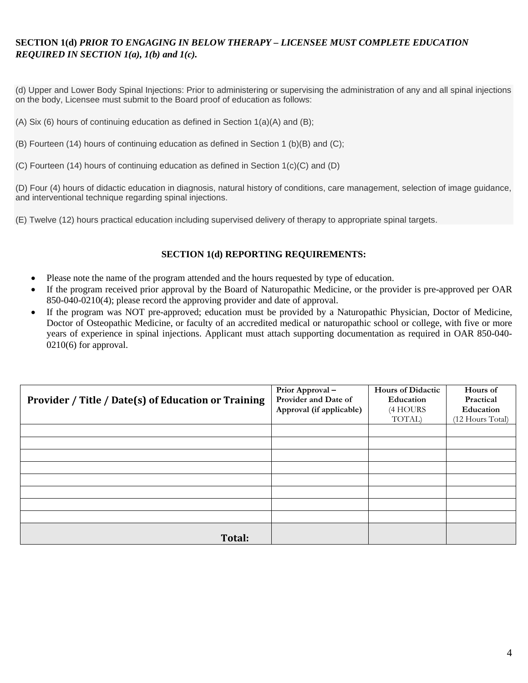# **SECTION 1(d)** *PRIOR TO ENGAGING IN BELOW THERAPY – LICENSEE MUST COMPLETE EDUCATION REQUIRED IN SECTION 1(a), 1(b) and 1(c).*

(d) Upper and Lower Body Spinal Injections: Prior to administering or supervising the administration of any and all spinal injections on the body, Licensee must submit to the Board proof of education as follows:

- (A) Six (6) hours of continuing education as defined in Section 1(a)(A) and (B);
- (B) Fourteen (14) hours of continuing education as defined in Section 1 (b)(B) and (C);
- (C) Fourteen (14) hours of continuing education as defined in Section 1(c)(C) and (D)

(D) Four (4) hours of didactic education in diagnosis, natural history of conditions, care management, selection of image guidance, and interventional technique regarding spinal injections.

(E) Twelve (12) hours practical education including supervised delivery of therapy to appropriate spinal targets.

#### **SECTION 1(d) REPORTING REQUIREMENTS:**

- Please note the name of the program attended and the hours requested by type of education.
- If the program received prior approval by the Board of Naturopathic Medicine, or the provider is pre-approved per OAR 850-040-0210(4); please record the approving provider and date of approval.
- If the program was NOT pre-approved; education must be provided by a Naturopathic Physician, Doctor of Medicine, Doctor of Osteopathic Medicine, or faculty of an accredited medical or naturopathic school or college, with five or more years of experience in spinal injections. Applicant must attach supporting documentation as required in OAR 850-040- 0210(6) for approval.

| Provider / Title / Date(s) of Education or Training | Prior Approval-<br>Provider and Date of | Hours of Didactic<br>Education | Hours of<br>Practical         |
|-----------------------------------------------------|-----------------------------------------|--------------------------------|-------------------------------|
|                                                     | Approval (if applicable)                | (4 HOURS<br>TOTAL)             | Education<br>(12 Hours Total) |
|                                                     |                                         |                                |                               |
|                                                     |                                         |                                |                               |
|                                                     |                                         |                                |                               |
|                                                     |                                         |                                |                               |
|                                                     |                                         |                                |                               |
|                                                     |                                         |                                |                               |
|                                                     |                                         |                                |                               |
|                                                     |                                         |                                |                               |
| Total:                                              |                                         |                                |                               |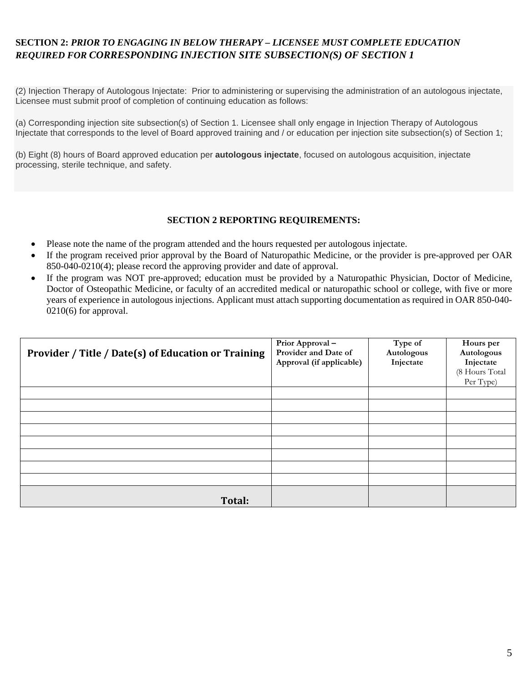# **SECTION 2:** *PRIOR TO ENGAGING IN BELOW THERAPY – LICENSEE MUST COMPLETE EDUCATION REQUIRED FOR CORRESPONDING INJECTION SITE SUBSECTION(S) OF SECTION 1*

(2) Injection Therapy of Autologous Injectate: Prior to administering or supervising the administration of an autologous injectate, Licensee must submit proof of completion of continuing education as follows:

(a) Corresponding injection site subsection(s) of Section 1. Licensee shall only engage in Injection Therapy of Autologous Injectate that corresponds to the level of Board approved training and / or education per injection site subsection(s) of Section 1;

(b) Eight (8) hours of Board approved education per **autologous injectate**, focused on autologous acquisition, injectate processing, sterile technique, and safety.

#### **SECTION 2 REPORTING REQUIREMENTS:**

- Please note the name of the program attended and the hours requested per autologous injectate.
- If the program received prior approval by the Board of Naturopathic Medicine, or the provider is pre-approved per OAR 850-040-0210(4); please record the approving provider and date of approval.
- If the program was NOT pre-approved; education must be provided by a Naturopathic Physician, Doctor of Medicine, Doctor of Osteopathic Medicine, or faculty of an accredited medical or naturopathic school or college, with five or more years of experience in autologous injections. Applicant must attach supporting documentation as required in OAR 850-040- 0210(6) for approval.

| Provider / Title / Date(s) of Education or Training | Prior Approval-<br>Provider and Date of<br>Approval (if applicable) | Type of<br>Autologous<br>Injectate | Hours per<br>Autologous<br>Injectate |
|-----------------------------------------------------|---------------------------------------------------------------------|------------------------------------|--------------------------------------|
|                                                     |                                                                     |                                    | (8 Hours Total<br>Per Type)          |
|                                                     |                                                                     |                                    |                                      |
|                                                     |                                                                     |                                    |                                      |
|                                                     |                                                                     |                                    |                                      |
|                                                     |                                                                     |                                    |                                      |
|                                                     |                                                                     |                                    |                                      |
|                                                     |                                                                     |                                    |                                      |
|                                                     |                                                                     |                                    |                                      |
|                                                     |                                                                     |                                    |                                      |
| Total:                                              |                                                                     |                                    |                                      |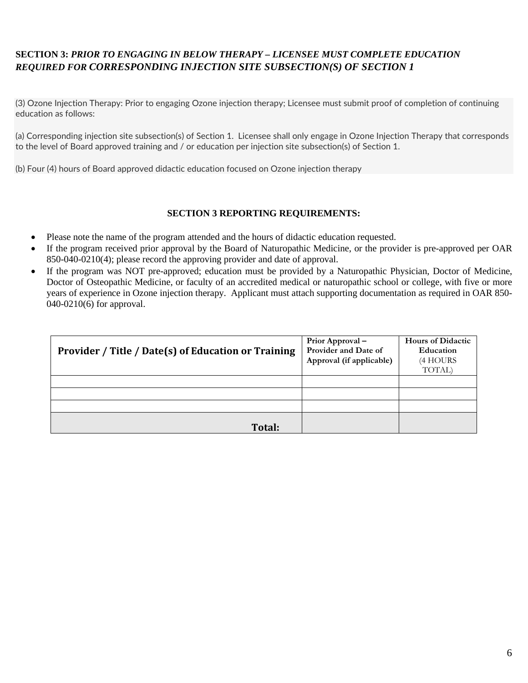# **SECTION 3:** *PRIOR TO ENGAGING IN BELOW THERAPY – LICENSEE MUST COMPLETE EDUCATION REQUIRED FOR CORRESPONDING INJECTION SITE SUBSECTION(S) OF SECTION 1*

(3) Ozone Injection Therapy: Prior to engaging Ozone injection therapy; Licensee must submit proof of completion of continuing education as follows:

(a) Corresponding injection site subsection(s) of Section 1. Licensee shall only engage in Ozone Injection Therapy that corresponds to the level of Board approved training and / or education per injection site subsection(s) of Section 1.

(b) Four (4) hours of Board approved didactic education focused on Ozone injection therapy

#### **SECTION 3 REPORTING REQUIREMENTS:**

- Please note the name of the program attended and the hours of didactic education requested.
- If the program received prior approval by the Board of Naturopathic Medicine, or the provider is pre-approved per OAR 850-040-0210(4); please record the approving provider and date of approval.
- If the program was NOT pre-approved; education must be provided by a Naturopathic Physician, Doctor of Medicine, Doctor of Osteopathic Medicine, or faculty of an accredited medical or naturopathic school or college, with five or more years of experience in Ozone injection therapy. Applicant must attach supporting documentation as required in OAR 850- 040-0210(6) for approval.

| Provider / Title / Date(s) of Education or Training | Prior Approval –<br>Provider and Date of<br>Approval (if applicable) | <b>Hours of Didactic</b><br>Education<br>(4 HOURS<br>TOTAL) |
|-----------------------------------------------------|----------------------------------------------------------------------|-------------------------------------------------------------|
|                                                     |                                                                      |                                                             |
|                                                     |                                                                      |                                                             |
|                                                     |                                                                      |                                                             |
| Total:                                              |                                                                      |                                                             |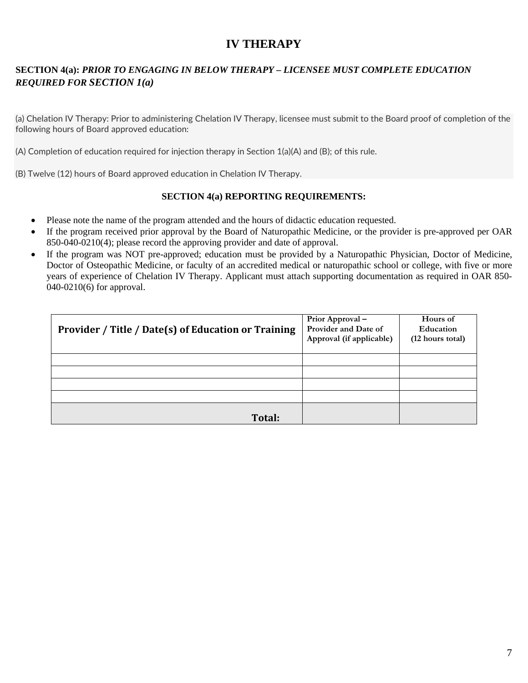# **IV THERAPY**

# **SECTION 4(a):** *PRIOR TO ENGAGING IN BELOW THERAPY – LICENSEE MUST COMPLETE EDUCATION REQUIRED FOR SECTION 1(a)*

(a) Chelation IV Therapy: Prior to administering Chelation IV Therapy, licensee must submit to the Board proof of completion of the following hours of Board approved education:

(A) Completion of education required for injection therapy in Section 1(a)(A) and (B); of this rule.

(B) Twelve (12) hours of Board approved education in Chelation IV Therapy.

#### **SECTION 4(a) REPORTING REQUIREMENTS:**

- Please note the name of the program attended and the hours of didactic education requested.
- If the program received prior approval by the Board of Naturopathic Medicine, or the provider is pre-approved per OAR 850-040-0210(4); please record the approving provider and date of approval.
- If the program was NOT pre-approved; education must be provided by a Naturopathic Physician, Doctor of Medicine, Doctor of Osteopathic Medicine, or faculty of an accredited medical or naturopathic school or college, with five or more years of experience of Chelation IV Therapy. Applicant must attach supporting documentation as required in OAR 850- 040-0210(6) for approval.

| Provider / Title / Date(s) of Education or Training | Prior Approval -<br>Provider and Date of<br>Approval (if applicable) | Hours of<br>Education<br>(12 hours total) |
|-----------------------------------------------------|----------------------------------------------------------------------|-------------------------------------------|
|                                                     |                                                                      |                                           |
|                                                     |                                                                      |                                           |
|                                                     |                                                                      |                                           |
|                                                     |                                                                      |                                           |
| <b>Total:</b>                                       |                                                                      |                                           |